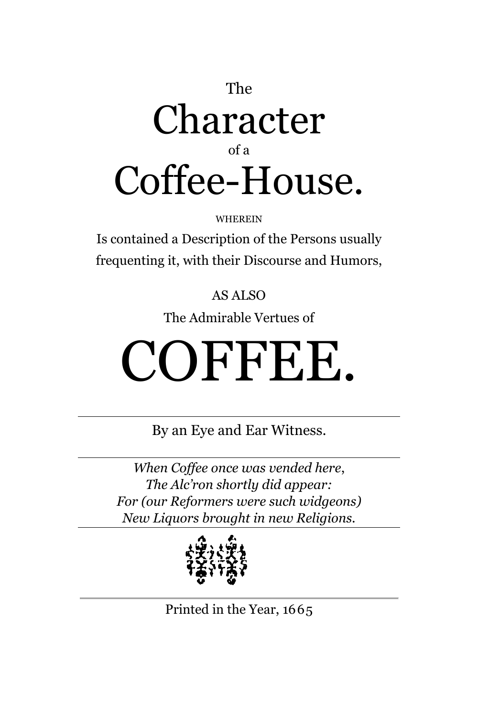#### The Character of a Coffee-House.

WHEREIN

Is contained a Description of the Persons usually frequenting it, with their Discourse and Humors,

#### AS ALSO

The Admirable Vertues of

# COFFEE.

By an Eye and Ear Witness.

*When Coffee once was vended here*, *The Alc'ron shortly did appear: For (our Reformers were such widgeons) New Liquors brought in new Religions.*



Printed in the Year, 1665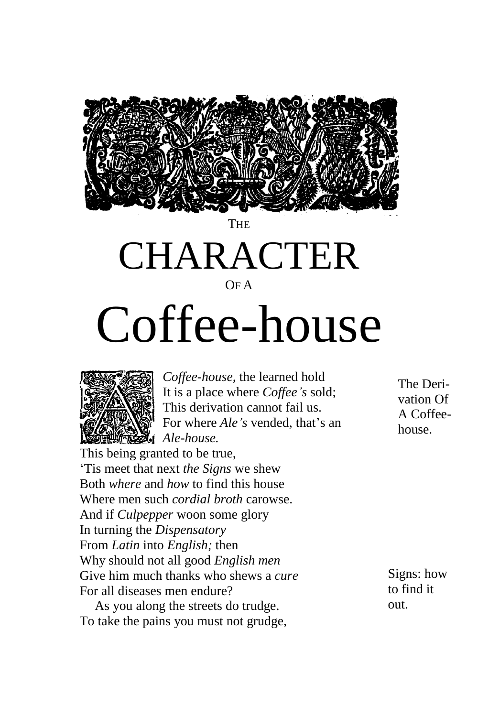

 ${\sf THE}$ 

### CHARACTER

OF A

## Coffee-house



*Coffee-house,* the learned hold It is a place where *Coffee's* sold; This derivation cannot fail us. For where *Ale's* vended, that's an *Ale-house.*

This being granted to be true, 'Tis meet that next *the Signs* we shew Both *where* and *how* to find this house Where men such *cordial broth* carowse. And if *Culpepper* woon some glory In turning the *Dispensatory* From *Latin* into *English;* then Why should not all good *English men* Give him much thanks who shews a *cure* For all diseases men endure?

As you along the streets do trudge. To take the pains you must not grudge, The Derivation Of A Coffeehouse.

Signs: how to find it out.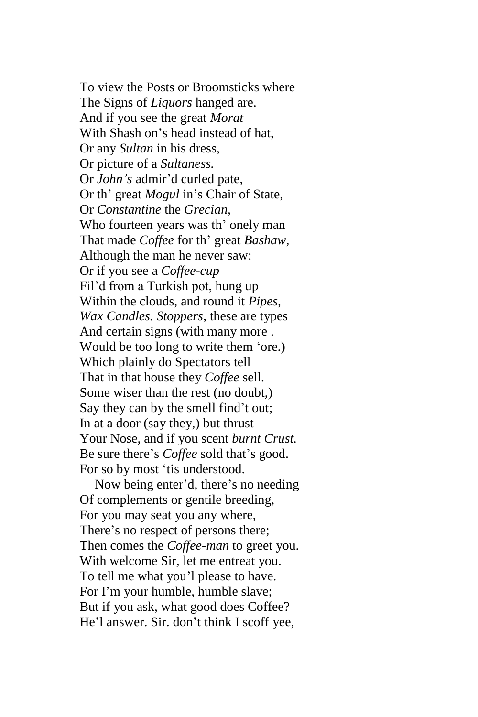To view the Posts or Broomsticks where The Signs of *Liquors* hanged are. And if you see the great *Morat* With Shash on's head instead of hat, Or any *Sultan* in his dress, Or picture of a *Sultaness.* Or *John's* admir'd curled pate, Or th' great *Mogul* in's Chair of State, Or *Constantine* the *Grecian,* Who fourteen years was th' onely man That made *Coffee* for th' great *Bashaw,* Although the man he never saw: Or if you see a *Coffee-cup* Fil'd from a Turkish pot, hung up Within the clouds, and round it *Pipes, Wax Candles. Stoppers,* these are types And certain signs (with many more . Would be too long to write them 'ore.) Which plainly do Spectators tell That in that house they *Coffee* sell. Some wiser than the rest (no doubt,) Say they can by the smell find't out; In at a door (say they,) but thrust Your Nose, and if you scent *burnt Crust.* Be sure there's *Coffee* sold that's good. For so by most 'tis understood.

Now being enter'd, there's no needing Of complements or gentile breeding, For you may seat you any where, There's no respect of persons there; Then comes the *Coffee-man* to greet you. With welcome Sir, let me entreat you. To tell me what you'l please to have. For I'm your humble, humble slave; But if you ask, what good does Coffee? He'l answer. Sir. don't think I scoff yee,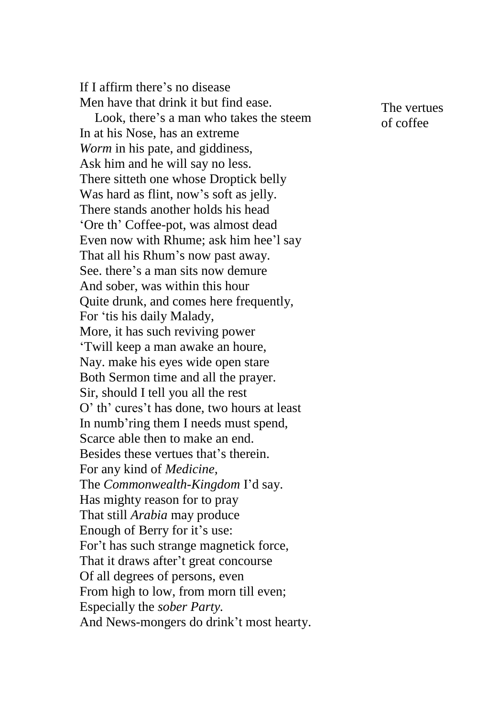If I affirm there's no disease Men have that drink it but find ease. Look, there's a man who takes the steem In at his Nose, has an extreme *Worm* in his pate, and giddiness, Ask him and he will say no less. There sitteth one whose Droptick belly Was hard as flint, now's soft as jelly. There stands another holds his head 'Ore th' Coffee-pot, was almost dead Even now with Rhume; ask him hee'l say That all his Rhum's now past away. See. there's a man sits now demure And sober, was within this hour Quite drunk, and comes here frequently, For 'tis his daily Malady, More, it has such reviving power 'Twill keep a man awake an houre, Nay. make his eyes wide open stare Both Sermon time and all the prayer. Sir, should I tell you all the rest O' th' cures't has done, two hours at least In numb'ring them I needs must spend, Scarce able then to make an end. Besides these vertues that's therein. For any kind of *Medicine,* The *Commonwealth-Kingdom* I'd say. Has mighty reason for to pray That still *Arabia* may produce Enough of Berry for it's use: For't has such strange magnetick force, That it draws after't great concourse Of all degrees of persons, even From high to low, from morn till even; Especially the *sober Party.* And News-mongers do drink't most hearty.

The vertues of coffee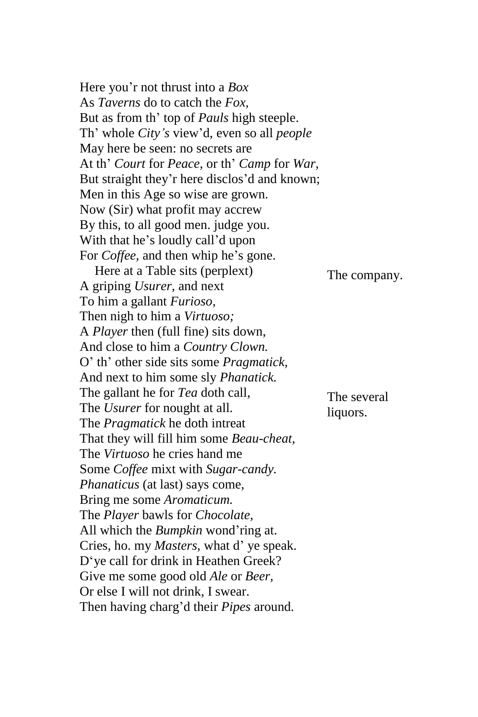Here you'r not thrust into a *Box* As *Taverns* do to catch the *Fox,* But as from th' top of *Pauls* high steeple. Th' whole *City's* view'd, even so all *people* May here be seen: no secrets are At th' *Court* for *Peace,* or th' *Camp* for *War,* But straight they'r here disclos'd and known; Men in this Age so wise are grown. Now (Sir) what profit may accrew By this, to all good men. judge you. With that he's loudly call'd upon For *Coffee,* and then whip he's gone. Here at a Table sits (perplext) A griping *Usurer,* and next To him a gallant *Furioso,* Then nigh to him a *Virtuoso;* A *Player* then (full fine) sits down, And close to him a *Country Clown.* O' th' other side sits some *Pragmatick,* And next to him some sly *Phanatick.* The gallant he for *Tea* doth call, The *Usurer* for nought at all. The *Pragmatick* he doth intreat That they will fill him some *Beau-cheat,* The *Virtuoso* he cries hand me Some *Coffee* mixt with *Sugar-candy. Phanaticus* (at last) says come, Bring me some *Aromaticum.* The *Player* bawls for *Chocolate,* All which the *Bumpkin* wond'ring at. Cries, ho. my *Masters,* what d' ye speak. D'ye call for drink in Heathen Greek? Give me some good old *Ale* or *Beer,* Or else I will not drink, I swear. Then having charg'd their *Pipes* around. The company. The several liquors.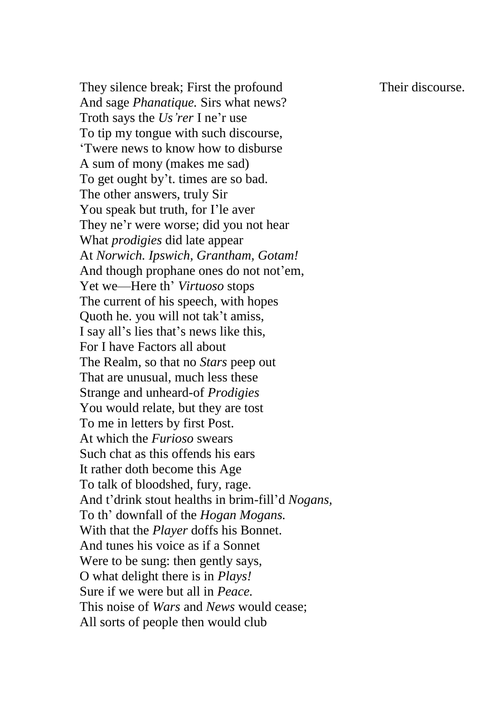Their discourse.

They silence break; First the profound And sage *Phanatique.* Sirs what news? Troth says the *Us'rer* I ne'r use To tip my tongue with such discourse, 'Twere news to know how to disburse A sum of mony (makes me sad) To get ought by't. times are so bad. The other answers, truly Sir You speak but truth, for I'le aver They ne'r were worse; did you not hear What *prodigies* did late appear At *Norwich. Ipswich, Grantham, Gotam!* And though prophane ones do not not'em, Yet we—Here th' *Virtuoso* stops The current of his speech, with hopes Quoth he. you will not tak't amiss, I say all's lies that's news like this, For I have Factors all about The Realm, so that no *Stars* peep out That are unusual, much less these Strange and unheard-of *Prodigies*  You would relate, but they are tost To me in letters by first Post. At which the *Furioso* swears Such chat as this offends his ears It rather doth become this Age To talk of bloodshed, fury, rage. And t'drink stout healths in brim-fill'd *Nogans,* To th' downfall of the *Hogan Mogans.*  With that the *Player* doffs his Bonnet. And tunes his voice as if a Sonnet Were to be sung: then gently says, O what delight there is in *Plays!* Sure if we were but all in *Peace.* This noise of *Wars* and *News* would cease; All sorts of people then would club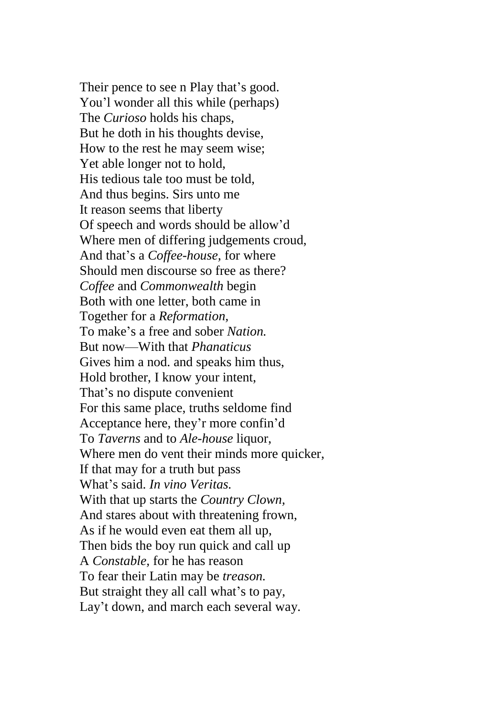Their pence to see n Play that's good. You'l wonder all this while (perhaps) The *Curioso* holds his chaps, But he doth in his thoughts devise, How to the rest he may seem wise; Yet able longer not to hold, His tedious tale too must be told, And thus begins. Sirs unto me It reason seems that liberty Of speech and words should be allow'd Where men of differing judgements croud, And that's a *Coffee-house,* for where Should men discourse so free as there? *Coffee* and *Commonwealth* begin Both with one letter, both came in Together for a *Reformation,* To make's a free and sober *Nation.* But now—With that *Phanaticus* Gives him a nod. and speaks him thus, Hold brother, I know your intent, That's no dispute convenient For this same place, truths seldome find Acceptance here, they'r more confin'd To *Taverns* and to *Ale-house* liquor, Where men do vent their minds more quicker, If that may for a truth but pass What's said. *In vino Veritas.* With that up starts the *Country Clown,* And stares about with threatening frown, As if he would even eat them all up, Then bids the boy run quick and call up A *Constable,* for he has reason To fear their Latin may be *treason.* But straight they all call what's to pay, Lay't down, and march each several way.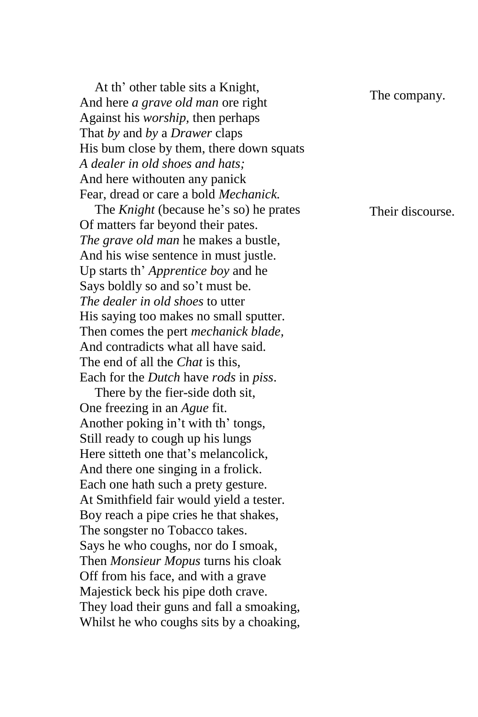At th' other table sits a Knight, And here *a grave old man* ore right Against his *worship,* then perhaps That *by* and *by* a *Drawer* claps His bum close by them, there down squats *A dealer in old shoes and hats;*  And here withouten any panick Fear, dread or care a bold *Mechanick.*

The *Knight* (because he's so) he prates Of matters far beyond their pates. *The grave old man* he makes a bustle, And his wise sentence in must justle. Up starts th' *Apprentice boy* and he Says boldly so and so't must be. *The dealer in old shoes* to utter His saying too makes no small sputter. Then comes the pert *mechanick blade,*  And contradicts what all have said. The end of all the *Chat* is this, Each for the *Dutch* have *rods* in *piss*.

There by the fier-side doth sit, One freezing in an *Ague* fit. Another poking in't with th' tongs, Still ready to cough up his lungs Here sitteth one that's melancolick, And there one singing in a frolick. Each one hath such a prety gesture. At Smithfield fair would yield a tester. Boy reach a pipe cries he that shakes, The songster no Tobacco takes. Says he who coughs, nor do I smoak, Then *Monsieur Mopus* turns his cloak Off from his face, and with a grave Majestick beck his pipe doth crave. They load their guns and fall a smoaking, Whilst he who coughs sits by a choaking,

The company.

Their discourse.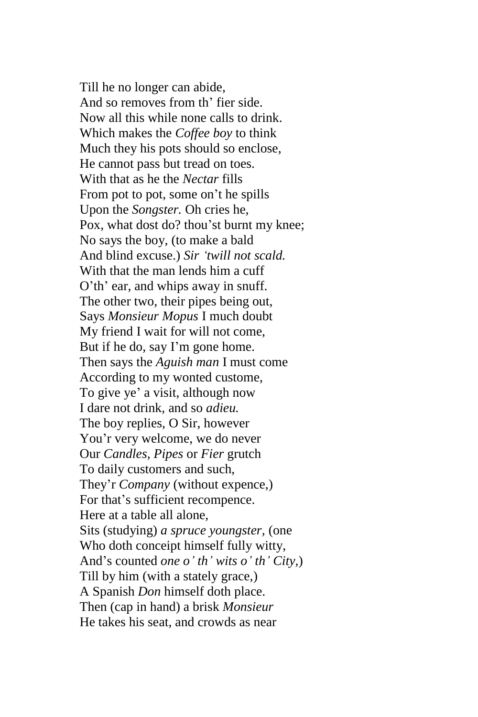Till he no longer can abide, And so removes from th' fier side. Now all this while none calls to drink. Which makes the *Coffee boy* to think Much they his pots should so enclose, He cannot pass but tread on toes. With that as he the *Nectar* fills From pot to pot, some on't he spills Upon the *Songster.* Oh cries he, Pox, what dost do? thou'st burnt my knee; No says the boy, (to make a bald And blind excuse.) *Sir 'twill not scald.* With that the man lends him a cuff O'th' ear, and whips away in snuff. The other two, their pipes being out, Says *Monsieur Mopus* I much doubt My friend I wait for will not come, But if he do, say I'm gone home. Then says the *Aguish man* I must come According to my wonted custome, To give ye' a visit, although now I dare not drink, and so *adieu.* The boy replies, O Sir, however You'r very welcome, we do never Our *Candles, Pipes* or *Fier* grutch To daily customers and such, They'r *Company* (without expence,) For that's sufficient recompence. Here at a table all alone, Sits (studying) *a spruce youngster,* (one Who doth conceipt himself fully witty, And's counted *one o' th' wits o' th' City*,) Till by him (with a stately grace,) A Spanish *Don* himself doth place. Then (cap in hand) a brisk *Monsieur* He takes his seat, and crowds as near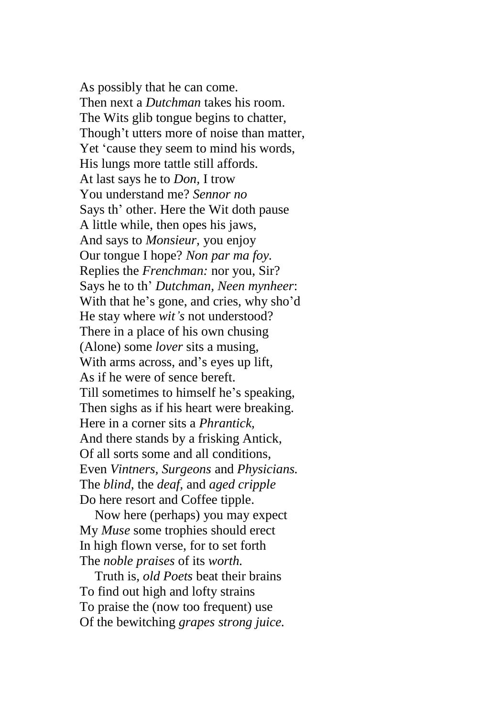As possibly that he can come. Then next a *Dutchman* takes his room. The Wits glib tongue begins to chatter, Though't utters more of noise than matter, Yet 'cause they seem to mind his words, His lungs more tattle still affords. At last says he to *Don,* I trow You understand me? *Sennor no* Says th' other. Here the Wit doth pause A little while, then opes his jaws, And says to *Monsieur,* you enjoy Our tongue I hope? *Non par ma foy.* Replies the *Frenchman:* nor you, Sir? Says he to th' *Dutchman, Neen mynheer*: With that he's gone, and cries, why sho'd He stay where *wit's* not understood? There in a place of his own chusing (Alone) some *lover* sits a musing, With arms across, and's eyes up lift, As if he were of sence bereft. Till sometimes to himself he's speaking, Then sighs as if his heart were breaking. Here in a corner sits a *Phrantick,* And there stands by a frisking Antick, Of all sorts some and all conditions, Even *Vintners, Surgeons* and *Physicians.* The *blind,* the *deaf,* and *aged cripple* Do here resort and Coffee tipple.

Now here (perhaps) you may expect My *Muse* some trophies should erect In high flown verse, for to set forth The *noble praises* of its *worth.*

Truth is, *old Poets* beat their brains To find out high and lofty strains To praise the (now too frequent) use Of the bewitching *grapes strong juice.*